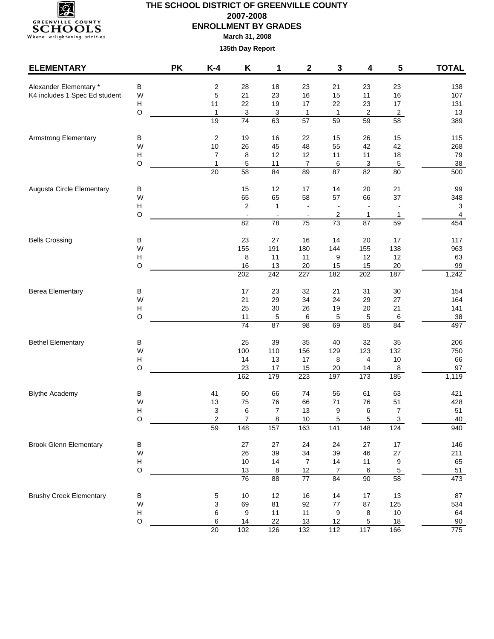

### **THE SCHOOL DISTRICT OF GREENVILLE COUNTY 2007-2008 ENROLLMENT BY GRADES March 31, 2008**

| $\sf B$<br>Alexander Elementary *<br>2<br>28<br>23<br>21<br>23<br>18<br>23<br>138<br>5<br>21<br>16<br>16<br>K4 includes 1 Spec Ed student<br>23<br>15<br>11<br>107<br>W<br>Н<br>11<br>22<br>19<br>17<br>22<br>23<br>17<br>131<br>$\circ$<br>3<br>13<br>1<br>3<br>$\mathbf{1}$<br>$\overline{\mathbf{c}}$<br>$\overline{2}$<br>$\overline{1}$<br>74<br>19<br>63<br>59<br>58<br>$\overline{57}$<br>59<br>389<br>$\overline{\mathbf{c}}$<br>19<br>16<br>22<br>15<br>26<br>15<br>115<br><b>Armstrong Elementary</b><br>В<br>48<br>W<br>$10$<br>26<br>45<br>55<br>42<br>42<br>268<br>Н<br>12<br>12<br>18<br>7<br>8<br>11<br>11<br>79<br>$\mathbf{1}$<br>5<br>O<br>$\overline{7}$<br>3<br>$\,$ 5 $\,$<br>38<br>11<br>6<br>87<br>82<br>$\overline{20}$<br>$\overline{58}$<br>84<br>89<br>80<br>500<br>12<br>14<br>20<br>Augusta Circle Elementary<br>B<br>15<br>17<br>21<br>99<br>65<br>65<br>37<br>W<br>58<br>57<br>66<br>348<br>2<br>3<br>Н<br>1<br>$\frac{1}{2}$<br>$\mathsf O$<br>2<br>4<br>$\overline{\phantom{a}}$<br>1<br>1<br>$\overline{\phantom{a}}$<br>$\blacksquare$<br>$\overline{73}$<br>$\overline{87}$<br>59<br>454<br>82<br>78<br>75<br>$\sf B$<br>23<br>27<br>16<br>14<br>20<br>17<br>117<br><b>Bells Crossing</b><br>W<br>155<br>191<br>180<br>144<br>155<br>138<br>963<br>8<br>11<br>12<br>63<br>н<br>11<br>9<br>12<br>$\circ$<br>16<br>13<br>20<br>15<br>20<br>99<br>15<br>202<br>242<br>227<br>182<br>202<br>187<br>1,242<br>21<br>30<br><b>Berea Elementary</b><br>В<br>17<br>23<br>32<br>31<br>154<br>W<br>21<br>34<br>29<br>24<br>29<br>27<br>164<br>Н<br>25<br>$30\,$<br>26<br>19<br>20<br>21<br>141<br>$\circ$<br>38<br>11<br>5<br>6<br>5<br>5<br>6<br>74<br>85<br>497<br>87<br>69<br>84<br>98<br>25<br>39<br>35<br>40<br>32<br>35<br><b>Bethel Elementary</b><br>B<br>206<br>W<br>100<br>110<br>156<br>129<br>123<br>132<br>750<br>$\boldsymbol{\mathsf{H}}$<br>14<br>13<br>17<br>$10$<br>66<br>8<br>4<br>$\circ$<br>23<br>97<br>17<br>15<br>20<br>14<br>8<br>162<br>179<br>223<br>1,119<br>197<br>$\frac{1}{173}$<br>185<br>60<br>66<br>56<br>61<br>63<br>421<br><b>Blythe Academy</b><br>В<br>41<br>74<br>W<br>13<br>75<br>76<br>66<br>$71$<br>76<br>51<br>428<br>$\boldsymbol{\mathsf{H}}$<br>$\overline{7}$<br>13<br>9<br>$\overline{7}$<br>51<br>3<br>6<br>6<br>O<br>2<br>$\overline{7}$<br>8<br>10<br>5<br>5<br>$\ensuremath{\mathsf{3}}$<br>40<br>148<br>157<br>141<br>940<br>59<br>163<br>148<br>124<br><b>Brook Glenn Elementary</b><br>B<br>27<br>27<br>24<br>27<br>$17\,$<br>146<br>24<br>W<br>34<br>39<br>26<br>39<br>46<br>27<br>211<br>H<br>$10$<br>14<br>9<br>65<br>$\overline{7}$<br>14<br>11<br>$\circ$<br>13<br>$\overline{5}$<br>12<br>7<br>6<br>51<br>8<br>$\overline{76}$<br>$\overline{88}$<br>$\overline{77}$<br>84<br>90<br>58<br>473<br>12<br>16<br>14<br>$17\,$<br>13<br>87<br><b>Brushy Creek Elementary</b><br>В<br>5<br>$10$<br>W<br>3<br>69<br>81<br>92<br>$77$<br>87<br>125<br>534<br>$\,6$<br>Н<br>9<br>11<br>11<br>9<br>$10\,$<br>64<br>8<br>$\circ$<br>6<br>14<br>22<br>$13$<br>$\,$ 5 $\,$<br>12<br>18<br>90<br>$\overline{20}$<br>117<br>775<br>102<br>126<br>$\overline{132}$<br>$\overline{112}$<br>166 | <b>ELEMENTARY</b> | <b>PK</b> | $K-4$ | Κ | 1 | 2 | 3 | 4 | 5 | <b>TOTAL</b> |
|--------------------------------------------------------------------------------------------------------------------------------------------------------------------------------------------------------------------------------------------------------------------------------------------------------------------------------------------------------------------------------------------------------------------------------------------------------------------------------------------------------------------------------------------------------------------------------------------------------------------------------------------------------------------------------------------------------------------------------------------------------------------------------------------------------------------------------------------------------------------------------------------------------------------------------------------------------------------------------------------------------------------------------------------------------------------------------------------------------------------------------------------------------------------------------------------------------------------------------------------------------------------------------------------------------------------------------------------------------------------------------------------------------------------------------------------------------------------------------------------------------------------------------------------------------------------------------------------------------------------------------------------------------------------------------------------------------------------------------------------------------------------------------------------------------------------------------------------------------------------------------------------------------------------------------------------------------------------------------------------------------------------------------------------------------------------------------------------------------------------------------------------------------------------------------------------------------------------------------------------------------------------------------------------------------------------------------------------------------------------------------------------------------------------------------------------------------------------------------------------------------------------------------------------------------------------------------------------------------------------------------------------------------------------------------------------------------------------------------------------------------------------------------------------------------------------------------------------------------------------------------------------------------------------------------------------------------------------------------------------------------------------------------------------------------------------------------------------------------------------------------------------------------------------|-------------------|-----------|-------|---|---|---|---|---|---|--------------|
|                                                                                                                                                                                                                                                                                                                                                                                                                                                                                                                                                                                                                                                                                                                                                                                                                                                                                                                                                                                                                                                                                                                                                                                                                                                                                                                                                                                                                                                                                                                                                                                                                                                                                                                                                                                                                                                                                                                                                                                                                                                                                                                                                                                                                                                                                                                                                                                                                                                                                                                                                                                                                                                                                                                                                                                                                                                                                                                                                                                                                                                                                                                                                                    |                   |           |       |   |   |   |   |   |   |              |
|                                                                                                                                                                                                                                                                                                                                                                                                                                                                                                                                                                                                                                                                                                                                                                                                                                                                                                                                                                                                                                                                                                                                                                                                                                                                                                                                                                                                                                                                                                                                                                                                                                                                                                                                                                                                                                                                                                                                                                                                                                                                                                                                                                                                                                                                                                                                                                                                                                                                                                                                                                                                                                                                                                                                                                                                                                                                                                                                                                                                                                                                                                                                                                    |                   |           |       |   |   |   |   |   |   |              |
|                                                                                                                                                                                                                                                                                                                                                                                                                                                                                                                                                                                                                                                                                                                                                                                                                                                                                                                                                                                                                                                                                                                                                                                                                                                                                                                                                                                                                                                                                                                                                                                                                                                                                                                                                                                                                                                                                                                                                                                                                                                                                                                                                                                                                                                                                                                                                                                                                                                                                                                                                                                                                                                                                                                                                                                                                                                                                                                                                                                                                                                                                                                                                                    |                   |           |       |   |   |   |   |   |   |              |
|                                                                                                                                                                                                                                                                                                                                                                                                                                                                                                                                                                                                                                                                                                                                                                                                                                                                                                                                                                                                                                                                                                                                                                                                                                                                                                                                                                                                                                                                                                                                                                                                                                                                                                                                                                                                                                                                                                                                                                                                                                                                                                                                                                                                                                                                                                                                                                                                                                                                                                                                                                                                                                                                                                                                                                                                                                                                                                                                                                                                                                                                                                                                                                    |                   |           |       |   |   |   |   |   |   |              |
|                                                                                                                                                                                                                                                                                                                                                                                                                                                                                                                                                                                                                                                                                                                                                                                                                                                                                                                                                                                                                                                                                                                                                                                                                                                                                                                                                                                                                                                                                                                                                                                                                                                                                                                                                                                                                                                                                                                                                                                                                                                                                                                                                                                                                                                                                                                                                                                                                                                                                                                                                                                                                                                                                                                                                                                                                                                                                                                                                                                                                                                                                                                                                                    |                   |           |       |   |   |   |   |   |   |              |
|                                                                                                                                                                                                                                                                                                                                                                                                                                                                                                                                                                                                                                                                                                                                                                                                                                                                                                                                                                                                                                                                                                                                                                                                                                                                                                                                                                                                                                                                                                                                                                                                                                                                                                                                                                                                                                                                                                                                                                                                                                                                                                                                                                                                                                                                                                                                                                                                                                                                                                                                                                                                                                                                                                                                                                                                                                                                                                                                                                                                                                                                                                                                                                    |                   |           |       |   |   |   |   |   |   |              |
|                                                                                                                                                                                                                                                                                                                                                                                                                                                                                                                                                                                                                                                                                                                                                                                                                                                                                                                                                                                                                                                                                                                                                                                                                                                                                                                                                                                                                                                                                                                                                                                                                                                                                                                                                                                                                                                                                                                                                                                                                                                                                                                                                                                                                                                                                                                                                                                                                                                                                                                                                                                                                                                                                                                                                                                                                                                                                                                                                                                                                                                                                                                                                                    |                   |           |       |   |   |   |   |   |   |              |
|                                                                                                                                                                                                                                                                                                                                                                                                                                                                                                                                                                                                                                                                                                                                                                                                                                                                                                                                                                                                                                                                                                                                                                                                                                                                                                                                                                                                                                                                                                                                                                                                                                                                                                                                                                                                                                                                                                                                                                                                                                                                                                                                                                                                                                                                                                                                                                                                                                                                                                                                                                                                                                                                                                                                                                                                                                                                                                                                                                                                                                                                                                                                                                    |                   |           |       |   |   |   |   |   |   |              |
|                                                                                                                                                                                                                                                                                                                                                                                                                                                                                                                                                                                                                                                                                                                                                                                                                                                                                                                                                                                                                                                                                                                                                                                                                                                                                                                                                                                                                                                                                                                                                                                                                                                                                                                                                                                                                                                                                                                                                                                                                                                                                                                                                                                                                                                                                                                                                                                                                                                                                                                                                                                                                                                                                                                                                                                                                                                                                                                                                                                                                                                                                                                                                                    |                   |           |       |   |   |   |   |   |   |              |
|                                                                                                                                                                                                                                                                                                                                                                                                                                                                                                                                                                                                                                                                                                                                                                                                                                                                                                                                                                                                                                                                                                                                                                                                                                                                                                                                                                                                                                                                                                                                                                                                                                                                                                                                                                                                                                                                                                                                                                                                                                                                                                                                                                                                                                                                                                                                                                                                                                                                                                                                                                                                                                                                                                                                                                                                                                                                                                                                                                                                                                                                                                                                                                    |                   |           |       |   |   |   |   |   |   |              |
|                                                                                                                                                                                                                                                                                                                                                                                                                                                                                                                                                                                                                                                                                                                                                                                                                                                                                                                                                                                                                                                                                                                                                                                                                                                                                                                                                                                                                                                                                                                                                                                                                                                                                                                                                                                                                                                                                                                                                                                                                                                                                                                                                                                                                                                                                                                                                                                                                                                                                                                                                                                                                                                                                                                                                                                                                                                                                                                                                                                                                                                                                                                                                                    |                   |           |       |   |   |   |   |   |   |              |
|                                                                                                                                                                                                                                                                                                                                                                                                                                                                                                                                                                                                                                                                                                                                                                                                                                                                                                                                                                                                                                                                                                                                                                                                                                                                                                                                                                                                                                                                                                                                                                                                                                                                                                                                                                                                                                                                                                                                                                                                                                                                                                                                                                                                                                                                                                                                                                                                                                                                                                                                                                                                                                                                                                                                                                                                                                                                                                                                                                                                                                                                                                                                                                    |                   |           |       |   |   |   |   |   |   |              |
|                                                                                                                                                                                                                                                                                                                                                                                                                                                                                                                                                                                                                                                                                                                                                                                                                                                                                                                                                                                                                                                                                                                                                                                                                                                                                                                                                                                                                                                                                                                                                                                                                                                                                                                                                                                                                                                                                                                                                                                                                                                                                                                                                                                                                                                                                                                                                                                                                                                                                                                                                                                                                                                                                                                                                                                                                                                                                                                                                                                                                                                                                                                                                                    |                   |           |       |   |   |   |   |   |   |              |
|                                                                                                                                                                                                                                                                                                                                                                                                                                                                                                                                                                                                                                                                                                                                                                                                                                                                                                                                                                                                                                                                                                                                                                                                                                                                                                                                                                                                                                                                                                                                                                                                                                                                                                                                                                                                                                                                                                                                                                                                                                                                                                                                                                                                                                                                                                                                                                                                                                                                                                                                                                                                                                                                                                                                                                                                                                                                                                                                                                                                                                                                                                                                                                    |                   |           |       |   |   |   |   |   |   |              |
|                                                                                                                                                                                                                                                                                                                                                                                                                                                                                                                                                                                                                                                                                                                                                                                                                                                                                                                                                                                                                                                                                                                                                                                                                                                                                                                                                                                                                                                                                                                                                                                                                                                                                                                                                                                                                                                                                                                                                                                                                                                                                                                                                                                                                                                                                                                                                                                                                                                                                                                                                                                                                                                                                                                                                                                                                                                                                                                                                                                                                                                                                                                                                                    |                   |           |       |   |   |   |   |   |   |              |
|                                                                                                                                                                                                                                                                                                                                                                                                                                                                                                                                                                                                                                                                                                                                                                                                                                                                                                                                                                                                                                                                                                                                                                                                                                                                                                                                                                                                                                                                                                                                                                                                                                                                                                                                                                                                                                                                                                                                                                                                                                                                                                                                                                                                                                                                                                                                                                                                                                                                                                                                                                                                                                                                                                                                                                                                                                                                                                                                                                                                                                                                                                                                                                    |                   |           |       |   |   |   |   |   |   |              |
|                                                                                                                                                                                                                                                                                                                                                                                                                                                                                                                                                                                                                                                                                                                                                                                                                                                                                                                                                                                                                                                                                                                                                                                                                                                                                                                                                                                                                                                                                                                                                                                                                                                                                                                                                                                                                                                                                                                                                                                                                                                                                                                                                                                                                                                                                                                                                                                                                                                                                                                                                                                                                                                                                                                                                                                                                                                                                                                                                                                                                                                                                                                                                                    |                   |           |       |   |   |   |   |   |   |              |
|                                                                                                                                                                                                                                                                                                                                                                                                                                                                                                                                                                                                                                                                                                                                                                                                                                                                                                                                                                                                                                                                                                                                                                                                                                                                                                                                                                                                                                                                                                                                                                                                                                                                                                                                                                                                                                                                                                                                                                                                                                                                                                                                                                                                                                                                                                                                                                                                                                                                                                                                                                                                                                                                                                                                                                                                                                                                                                                                                                                                                                                                                                                                                                    |                   |           |       |   |   |   |   |   |   |              |
|                                                                                                                                                                                                                                                                                                                                                                                                                                                                                                                                                                                                                                                                                                                                                                                                                                                                                                                                                                                                                                                                                                                                                                                                                                                                                                                                                                                                                                                                                                                                                                                                                                                                                                                                                                                                                                                                                                                                                                                                                                                                                                                                                                                                                                                                                                                                                                                                                                                                                                                                                                                                                                                                                                                                                                                                                                                                                                                                                                                                                                                                                                                                                                    |                   |           |       |   |   |   |   |   |   |              |
|                                                                                                                                                                                                                                                                                                                                                                                                                                                                                                                                                                                                                                                                                                                                                                                                                                                                                                                                                                                                                                                                                                                                                                                                                                                                                                                                                                                                                                                                                                                                                                                                                                                                                                                                                                                                                                                                                                                                                                                                                                                                                                                                                                                                                                                                                                                                                                                                                                                                                                                                                                                                                                                                                                                                                                                                                                                                                                                                                                                                                                                                                                                                                                    |                   |           |       |   |   |   |   |   |   |              |
|                                                                                                                                                                                                                                                                                                                                                                                                                                                                                                                                                                                                                                                                                                                                                                                                                                                                                                                                                                                                                                                                                                                                                                                                                                                                                                                                                                                                                                                                                                                                                                                                                                                                                                                                                                                                                                                                                                                                                                                                                                                                                                                                                                                                                                                                                                                                                                                                                                                                                                                                                                                                                                                                                                                                                                                                                                                                                                                                                                                                                                                                                                                                                                    |                   |           |       |   |   |   |   |   |   |              |
|                                                                                                                                                                                                                                                                                                                                                                                                                                                                                                                                                                                                                                                                                                                                                                                                                                                                                                                                                                                                                                                                                                                                                                                                                                                                                                                                                                                                                                                                                                                                                                                                                                                                                                                                                                                                                                                                                                                                                                                                                                                                                                                                                                                                                                                                                                                                                                                                                                                                                                                                                                                                                                                                                                                                                                                                                                                                                                                                                                                                                                                                                                                                                                    |                   |           |       |   |   |   |   |   |   |              |
|                                                                                                                                                                                                                                                                                                                                                                                                                                                                                                                                                                                                                                                                                                                                                                                                                                                                                                                                                                                                                                                                                                                                                                                                                                                                                                                                                                                                                                                                                                                                                                                                                                                                                                                                                                                                                                                                                                                                                                                                                                                                                                                                                                                                                                                                                                                                                                                                                                                                                                                                                                                                                                                                                                                                                                                                                                                                                                                                                                                                                                                                                                                                                                    |                   |           |       |   |   |   |   |   |   |              |
|                                                                                                                                                                                                                                                                                                                                                                                                                                                                                                                                                                                                                                                                                                                                                                                                                                                                                                                                                                                                                                                                                                                                                                                                                                                                                                                                                                                                                                                                                                                                                                                                                                                                                                                                                                                                                                                                                                                                                                                                                                                                                                                                                                                                                                                                                                                                                                                                                                                                                                                                                                                                                                                                                                                                                                                                                                                                                                                                                                                                                                                                                                                                                                    |                   |           |       |   |   |   |   |   |   |              |
|                                                                                                                                                                                                                                                                                                                                                                                                                                                                                                                                                                                                                                                                                                                                                                                                                                                                                                                                                                                                                                                                                                                                                                                                                                                                                                                                                                                                                                                                                                                                                                                                                                                                                                                                                                                                                                                                                                                                                                                                                                                                                                                                                                                                                                                                                                                                                                                                                                                                                                                                                                                                                                                                                                                                                                                                                                                                                                                                                                                                                                                                                                                                                                    |                   |           |       |   |   |   |   |   |   |              |
|                                                                                                                                                                                                                                                                                                                                                                                                                                                                                                                                                                                                                                                                                                                                                                                                                                                                                                                                                                                                                                                                                                                                                                                                                                                                                                                                                                                                                                                                                                                                                                                                                                                                                                                                                                                                                                                                                                                                                                                                                                                                                                                                                                                                                                                                                                                                                                                                                                                                                                                                                                                                                                                                                                                                                                                                                                                                                                                                                                                                                                                                                                                                                                    |                   |           |       |   |   |   |   |   |   |              |
|                                                                                                                                                                                                                                                                                                                                                                                                                                                                                                                                                                                                                                                                                                                                                                                                                                                                                                                                                                                                                                                                                                                                                                                                                                                                                                                                                                                                                                                                                                                                                                                                                                                                                                                                                                                                                                                                                                                                                                                                                                                                                                                                                                                                                                                                                                                                                                                                                                                                                                                                                                                                                                                                                                                                                                                                                                                                                                                                                                                                                                                                                                                                                                    |                   |           |       |   |   |   |   |   |   |              |
|                                                                                                                                                                                                                                                                                                                                                                                                                                                                                                                                                                                                                                                                                                                                                                                                                                                                                                                                                                                                                                                                                                                                                                                                                                                                                                                                                                                                                                                                                                                                                                                                                                                                                                                                                                                                                                                                                                                                                                                                                                                                                                                                                                                                                                                                                                                                                                                                                                                                                                                                                                                                                                                                                                                                                                                                                                                                                                                                                                                                                                                                                                                                                                    |                   |           |       |   |   |   |   |   |   |              |
|                                                                                                                                                                                                                                                                                                                                                                                                                                                                                                                                                                                                                                                                                                                                                                                                                                                                                                                                                                                                                                                                                                                                                                                                                                                                                                                                                                                                                                                                                                                                                                                                                                                                                                                                                                                                                                                                                                                                                                                                                                                                                                                                                                                                                                                                                                                                                                                                                                                                                                                                                                                                                                                                                                                                                                                                                                                                                                                                                                                                                                                                                                                                                                    |                   |           |       |   |   |   |   |   |   |              |
|                                                                                                                                                                                                                                                                                                                                                                                                                                                                                                                                                                                                                                                                                                                                                                                                                                                                                                                                                                                                                                                                                                                                                                                                                                                                                                                                                                                                                                                                                                                                                                                                                                                                                                                                                                                                                                                                                                                                                                                                                                                                                                                                                                                                                                                                                                                                                                                                                                                                                                                                                                                                                                                                                                                                                                                                                                                                                                                                                                                                                                                                                                                                                                    |                   |           |       |   |   |   |   |   |   |              |
|                                                                                                                                                                                                                                                                                                                                                                                                                                                                                                                                                                                                                                                                                                                                                                                                                                                                                                                                                                                                                                                                                                                                                                                                                                                                                                                                                                                                                                                                                                                                                                                                                                                                                                                                                                                                                                                                                                                                                                                                                                                                                                                                                                                                                                                                                                                                                                                                                                                                                                                                                                                                                                                                                                                                                                                                                                                                                                                                                                                                                                                                                                                                                                    |                   |           |       |   |   |   |   |   |   |              |
|                                                                                                                                                                                                                                                                                                                                                                                                                                                                                                                                                                                                                                                                                                                                                                                                                                                                                                                                                                                                                                                                                                                                                                                                                                                                                                                                                                                                                                                                                                                                                                                                                                                                                                                                                                                                                                                                                                                                                                                                                                                                                                                                                                                                                                                                                                                                                                                                                                                                                                                                                                                                                                                                                                                                                                                                                                                                                                                                                                                                                                                                                                                                                                    |                   |           |       |   |   |   |   |   |   |              |
|                                                                                                                                                                                                                                                                                                                                                                                                                                                                                                                                                                                                                                                                                                                                                                                                                                                                                                                                                                                                                                                                                                                                                                                                                                                                                                                                                                                                                                                                                                                                                                                                                                                                                                                                                                                                                                                                                                                                                                                                                                                                                                                                                                                                                                                                                                                                                                                                                                                                                                                                                                                                                                                                                                                                                                                                                                                                                                                                                                                                                                                                                                                                                                    |                   |           |       |   |   |   |   |   |   |              |
|                                                                                                                                                                                                                                                                                                                                                                                                                                                                                                                                                                                                                                                                                                                                                                                                                                                                                                                                                                                                                                                                                                                                                                                                                                                                                                                                                                                                                                                                                                                                                                                                                                                                                                                                                                                                                                                                                                                                                                                                                                                                                                                                                                                                                                                                                                                                                                                                                                                                                                                                                                                                                                                                                                                                                                                                                                                                                                                                                                                                                                                                                                                                                                    |                   |           |       |   |   |   |   |   |   |              |
|                                                                                                                                                                                                                                                                                                                                                                                                                                                                                                                                                                                                                                                                                                                                                                                                                                                                                                                                                                                                                                                                                                                                                                                                                                                                                                                                                                                                                                                                                                                                                                                                                                                                                                                                                                                                                                                                                                                                                                                                                                                                                                                                                                                                                                                                                                                                                                                                                                                                                                                                                                                                                                                                                                                                                                                                                                                                                                                                                                                                                                                                                                                                                                    |                   |           |       |   |   |   |   |   |   |              |
|                                                                                                                                                                                                                                                                                                                                                                                                                                                                                                                                                                                                                                                                                                                                                                                                                                                                                                                                                                                                                                                                                                                                                                                                                                                                                                                                                                                                                                                                                                                                                                                                                                                                                                                                                                                                                                                                                                                                                                                                                                                                                                                                                                                                                                                                                                                                                                                                                                                                                                                                                                                                                                                                                                                                                                                                                                                                                                                                                                                                                                                                                                                                                                    |                   |           |       |   |   |   |   |   |   |              |
|                                                                                                                                                                                                                                                                                                                                                                                                                                                                                                                                                                                                                                                                                                                                                                                                                                                                                                                                                                                                                                                                                                                                                                                                                                                                                                                                                                                                                                                                                                                                                                                                                                                                                                                                                                                                                                                                                                                                                                                                                                                                                                                                                                                                                                                                                                                                                                                                                                                                                                                                                                                                                                                                                                                                                                                                                                                                                                                                                                                                                                                                                                                                                                    |                   |           |       |   |   |   |   |   |   |              |
|                                                                                                                                                                                                                                                                                                                                                                                                                                                                                                                                                                                                                                                                                                                                                                                                                                                                                                                                                                                                                                                                                                                                                                                                                                                                                                                                                                                                                                                                                                                                                                                                                                                                                                                                                                                                                                                                                                                                                                                                                                                                                                                                                                                                                                                                                                                                                                                                                                                                                                                                                                                                                                                                                                                                                                                                                                                                                                                                                                                                                                                                                                                                                                    |                   |           |       |   |   |   |   |   |   |              |
|                                                                                                                                                                                                                                                                                                                                                                                                                                                                                                                                                                                                                                                                                                                                                                                                                                                                                                                                                                                                                                                                                                                                                                                                                                                                                                                                                                                                                                                                                                                                                                                                                                                                                                                                                                                                                                                                                                                                                                                                                                                                                                                                                                                                                                                                                                                                                                                                                                                                                                                                                                                                                                                                                                                                                                                                                                                                                                                                                                                                                                                                                                                                                                    |                   |           |       |   |   |   |   |   |   |              |
|                                                                                                                                                                                                                                                                                                                                                                                                                                                                                                                                                                                                                                                                                                                                                                                                                                                                                                                                                                                                                                                                                                                                                                                                                                                                                                                                                                                                                                                                                                                                                                                                                                                                                                                                                                                                                                                                                                                                                                                                                                                                                                                                                                                                                                                                                                                                                                                                                                                                                                                                                                                                                                                                                                                                                                                                                                                                                                                                                                                                                                                                                                                                                                    |                   |           |       |   |   |   |   |   |   |              |
|                                                                                                                                                                                                                                                                                                                                                                                                                                                                                                                                                                                                                                                                                                                                                                                                                                                                                                                                                                                                                                                                                                                                                                                                                                                                                                                                                                                                                                                                                                                                                                                                                                                                                                                                                                                                                                                                                                                                                                                                                                                                                                                                                                                                                                                                                                                                                                                                                                                                                                                                                                                                                                                                                                                                                                                                                                                                                                                                                                                                                                                                                                                                                                    |                   |           |       |   |   |   |   |   |   |              |
|                                                                                                                                                                                                                                                                                                                                                                                                                                                                                                                                                                                                                                                                                                                                                                                                                                                                                                                                                                                                                                                                                                                                                                                                                                                                                                                                                                                                                                                                                                                                                                                                                                                                                                                                                                                                                                                                                                                                                                                                                                                                                                                                                                                                                                                                                                                                                                                                                                                                                                                                                                                                                                                                                                                                                                                                                                                                                                                                                                                                                                                                                                                                                                    |                   |           |       |   |   |   |   |   |   |              |
|                                                                                                                                                                                                                                                                                                                                                                                                                                                                                                                                                                                                                                                                                                                                                                                                                                                                                                                                                                                                                                                                                                                                                                                                                                                                                                                                                                                                                                                                                                                                                                                                                                                                                                                                                                                                                                                                                                                                                                                                                                                                                                                                                                                                                                                                                                                                                                                                                                                                                                                                                                                                                                                                                                                                                                                                                                                                                                                                                                                                                                                                                                                                                                    |                   |           |       |   |   |   |   |   |   |              |
|                                                                                                                                                                                                                                                                                                                                                                                                                                                                                                                                                                                                                                                                                                                                                                                                                                                                                                                                                                                                                                                                                                                                                                                                                                                                                                                                                                                                                                                                                                                                                                                                                                                                                                                                                                                                                                                                                                                                                                                                                                                                                                                                                                                                                                                                                                                                                                                                                                                                                                                                                                                                                                                                                                                                                                                                                                                                                                                                                                                                                                                                                                                                                                    |                   |           |       |   |   |   |   |   |   |              |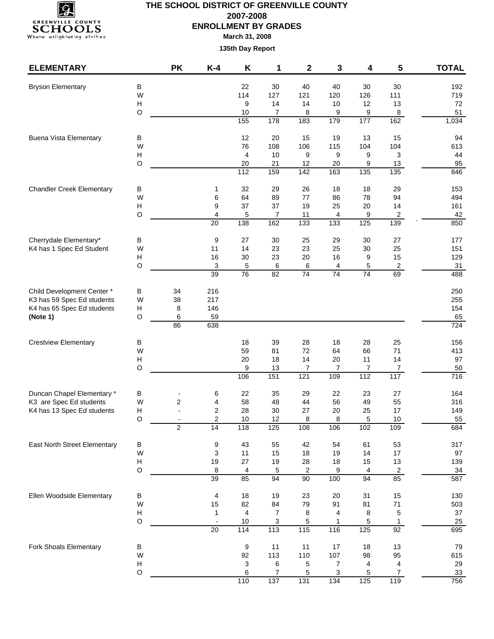

## **THE SCHOOL DISTRICT OF GREENVILLE COUNTY 2007-2008 ENROLLMENT BY GRADES**

**March 31, 2008**

| <b>ELEMENTARY</b>                   |                                      | <b>PK</b>               | $K-4$          | Κ         | 1         | 2                     | 3                     | 4                 | 5                                                                                                                                                                                                                                                                                                                                                                                                 | <b>TOTAL</b>          |
|-------------------------------------|--------------------------------------|-------------------------|----------------|-----------|-----------|-----------------------|-----------------------|-------------------|---------------------------------------------------------------------------------------------------------------------------------------------------------------------------------------------------------------------------------------------------------------------------------------------------------------------------------------------------------------------------------------------------|-----------------------|
| <b>Bryson Elementary</b>            | В                                    |                         |                | 22        | 30        | 40                    | 40                    | 30                | 30                                                                                                                                                                                                                                                                                                                                                                                                | 192                   |
|                                     | W                                    |                         |                | 114       | 127       | 121                   | 120                   | 126               | 111                                                                                                                                                                                                                                                                                                                                                                                               | 719                   |
|                                     | $\boldsymbol{\mathsf{H}}$            |                         |                | 9         | 14        | 14                    | 10                    | 12                | 13                                                                                                                                                                                                                                                                                                                                                                                                | 72                    |
|                                     | $\circ$                              |                         |                | 10        | 7         | 8                     | 9                     | 9                 | 8                                                                                                                                                                                                                                                                                                                                                                                                 | 51                    |
|                                     |                                      |                         |                | 155       | 178       | 183                   | 179                   |                   |                                                                                                                                                                                                                                                                                                                                                                                                   | 1,034                 |
| <b>Buena Vista Elementary</b>       | В                                    |                         |                | 12        | 20        | 15                    | 19                    | 13                | 15                                                                                                                                                                                                                                                                                                                                                                                                | 94                    |
|                                     | W                                    |                         |                | 76        | 108       | 106                   | 115                   |                   |                                                                                                                                                                                                                                                                                                                                                                                                   | 613                   |
|                                     | $\boldsymbol{\mathsf{H}}$            |                         |                | 4         | 10        | 9                     | 9                     |                   |                                                                                                                                                                                                                                                                                                                                                                                                   | 44                    |
|                                     | $\circ$                              |                         |                | 20<br>112 | 21<br>159 | 12<br>$\frac{1}{142}$ | 20<br>$\frac{163}{ }$ | $\frac{135}{135}$ | $\frac{1}{135}$                                                                                                                                                                                                                                                                                                                                                                                   | 95<br>846             |
|                                     |                                      |                         |                |           |           |                       |                       |                   |                                                                                                                                                                                                                                                                                                                                                                                                   |                       |
| <b>Chandler Creek Elementary</b>    | В<br>W                               |                         | 1<br>6         | 32<br>64  | 29<br>89  | 26<br>77              | 18<br>86              |                   |                                                                                                                                                                                                                                                                                                                                                                                                   | 153<br>494            |
|                                     | $\boldsymbol{\mathsf{H}}$            |                         | 9              | 37        | 37        | 19                    | 25                    |                   |                                                                                                                                                                                                                                                                                                                                                                                                   | 161                   |
|                                     | $\circ$                              |                         | 4              | 5         | 7         | 11                    | 4                     |                   |                                                                                                                                                                                                                                                                                                                                                                                                   | 42                    |
|                                     |                                      |                         | 20             | 138       | 162       | 133                   | 133                   | 125               | 139                                                                                                                                                                                                                                                                                                                                                                                               | 850                   |
| Cherrydale Elementary*              | В                                    |                         | 9              | 27        | 30        | 25                    | 29                    |                   |                                                                                                                                                                                                                                                                                                                                                                                                   | 177                   |
| K4 has 1 Spec Ed Student            | W                                    |                         | 11             | 14        | 23        | 23                    | 25                    |                   |                                                                                                                                                                                                                                                                                                                                                                                                   | 151                   |
|                                     | Н                                    |                         | 16             | 30        | 23        | 20                    | 16                    | 9                 | 15                                                                                                                                                                                                                                                                                                                                                                                                | 129                   |
|                                     | $\circ$                              |                         | 3              | 5         | 6         | 6                     | 4                     | 5                 | $\overline{c}$                                                                                                                                                                                                                                                                                                                                                                                    | 31                    |
|                                     |                                      |                         | 39             | 76        | 82        | 74                    | 74                    |                   |                                                                                                                                                                                                                                                                                                                                                                                                   | 488                   |
| Child Development Center *          | В                                    | 34                      | 216            |           |           |                       |                       |                   |                                                                                                                                                                                                                                                                                                                                                                                                   | 250                   |
| K3 has 59 Spec Ed students          | W                                    | 38                      | 217            |           |           |                       |                       |                   |                                                                                                                                                                                                                                                                                                                                                                                                   | 255                   |
| K4 has 65 Spec Ed students          | Н                                    | 8                       | 146            |           |           |                       |                       |                   |                                                                                                                                                                                                                                                                                                                                                                                                   | 154                   |
| (Note 1)                            | O                                    | 6<br>86                 | 59<br>638      |           |           |                       |                       |                   |                                                                                                                                                                                                                                                                                                                                                                                                   | 65<br>724             |
|                                     |                                      |                         |                |           |           |                       |                       |                   |                                                                                                                                                                                                                                                                                                                                                                                                   |                       |
| <b>Crestview Elementary</b>         | В<br>W                               |                         |                | 18<br>59  | 39<br>81  | 28<br>72              | 18<br>64              |                   |                                                                                                                                                                                                                                                                                                                                                                                                   | 156<br>413            |
|                                     | $\boldsymbol{\mathsf{H}}$            |                         |                | 20        | 18        | 14                    | 20                    |                   |                                                                                                                                                                                                                                                                                                                                                                                                   | 97                    |
|                                     | $\circ$                              |                         |                | 9         | 13        | 7                     | 7                     |                   |                                                                                                                                                                                                                                                                                                                                                                                                   | 50                    |
|                                     |                                      |                         |                | 106       | 151       | 121                   | 109                   | 112               | 117                                                                                                                                                                                                                                                                                                                                                                                               | $\overline{716}$      |
| Duncan Chapel Elementary *          | В                                    |                         | 6              | 22        | 35        | 29                    | 22                    |                   |                                                                                                                                                                                                                                                                                                                                                                                                   | 164                   |
| K3 are Spec Ed students             | W                                    | $\overline{c}$          | 4              | 58        | 48        | 44                    | 56                    | 49                | 55                                                                                                                                                                                                                                                                                                                                                                                                | 316                   |
| K4 has 13 Spec Ed students          | н                                    |                         | $\overline{c}$ | 28        | 30        | 27                    | 20                    | 25                | 17                                                                                                                                                                                                                                                                                                                                                                                                | 149                   |
|                                     | O                                    |                         | $\overline{c}$ | 10        | 12        | 8                     | 8                     | 5                 | 10                                                                                                                                                                                                                                                                                                                                                                                                | 55                    |
|                                     |                                      | $\overline{\mathbf{c}}$ | 14             | 118       | 125       | 108                   | 106                   |                   |                                                                                                                                                                                                                                                                                                                                                                                                   | 684                   |
| <b>East North Street Elementary</b> | В                                    |                         | 9              | 43        | 55        | 42                    | 54                    | 61                | 53                                                                                                                                                                                                                                                                                                                                                                                                | 317                   |
|                                     | W                                    |                         | 3              | 11        | 15        | 18                    | 19                    |                   |                                                                                                                                                                                                                                                                                                                                                                                                   | 97                    |
|                                     | $\boldsymbol{\mathsf{H}}$<br>$\circ$ |                         | 19<br>8        | 27<br>4   | 19<br>5   | 28<br>$\sqrt{2}$      | 18<br>9               |                   |                                                                                                                                                                                                                                                                                                                                                                                                   | 139<br>$\frac{34}{5}$ |
|                                     |                                      |                         | 39             | 85        | 94        | $\overline{90}$       | 100                   | 94                | 85                                                                                                                                                                                                                                                                                                                                                                                                | 587                   |
| Ellen Woodside Elementary           | В                                    |                         | 4              | 18        | 19        | 23                    | 20                    |                   |                                                                                                                                                                                                                                                                                                                                                                                                   | 130                   |
|                                     | W                                    |                         | 15             | 82        | 84        | 79                    | 91                    |                   |                                                                                                                                                                                                                                                                                                                                                                                                   | 503                   |
|                                     | $\boldsymbol{\mathsf{H}}$            |                         | 1              | 4         | 7         | 8                     | 4                     | 8                 | 5                                                                                                                                                                                                                                                                                                                                                                                                 | 37                    |
|                                     | $\circ$                              |                         |                | 10        | 3         | 5                     | 1                     | 5                 | $\mathbf{1}$                                                                                                                                                                                                                                                                                                                                                                                      | 25                    |
|                                     |                                      |                         | 20             | 114       | 113       | 115                   | 116                   |                   |                                                                                                                                                                                                                                                                                                                                                                                                   | 695                   |
| Fork Shoals Elementary              | В                                    |                         |                | 9         | 11        | 11                    | 17                    | 18                | 162<br>177<br>104<br>104<br>3<br>9<br>9<br>13<br>18<br>29<br>78<br>94<br>20<br>14<br>$\overline{\mathbf{c}}$<br>9<br>27<br>30<br>30<br>25<br>74<br>69<br>28<br>25<br>66<br>71<br>14<br>11<br>7<br>7<br>23<br>27<br>102<br>109<br>14<br>17<br>13<br>15<br>$\overline{2}$<br>4<br>31<br>15<br>$71$<br>81<br>125<br>$\overline{92}$<br>13<br>98<br>95<br>4<br>4<br>$\overline{7}$<br>5<br>125<br>119 | 79                    |
|                                     | W                                    |                         |                | 92        | 113       | 110                   | 107                   |                   |                                                                                                                                                                                                                                                                                                                                                                                                   | 615                   |
|                                     | $\boldsymbol{\mathsf{H}}$            |                         |                | 3         | 6         | 5                     | 7                     |                   |                                                                                                                                                                                                                                                                                                                                                                                                   | 29                    |
|                                     | $\circ$                              |                         |                | 6<br>110  | 7<br>137  | 5<br>131              | 3<br>$\frac{1}{134}$  |                   |                                                                                                                                                                                                                                                                                                                                                                                                   | $33\,$<br>756         |
|                                     |                                      |                         |                |           |           |                       |                       |                   |                                                                                                                                                                                                                                                                                                                                                                                                   |                       |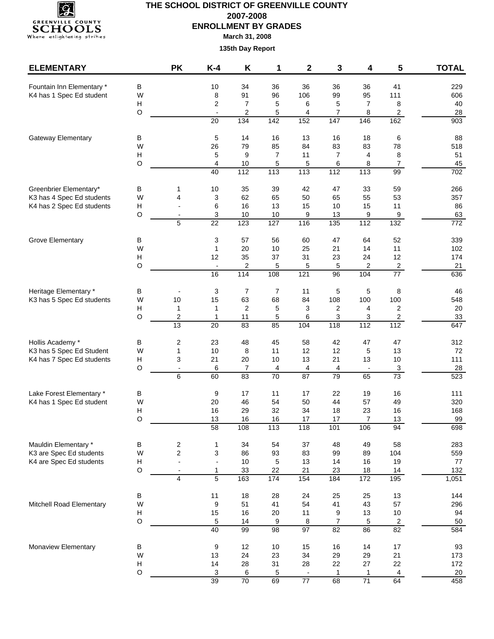

## **THE SCHOOL DISTRICT OF GREENVILLE COUNTY 2007-2008 ENROLLMENT BY GRADES**

**March 31, 2008**

| <b>ELEMENTARY</b>                                    |         | <b>PK</b>                     | $K-4$                          | K                       | 1               | $\mathbf 2$          | 3                      | 4                    | 5                                                                                                                                                                                                                                                                                                                                                                                                   | <b>TOTAL</b>           |
|------------------------------------------------------|---------|-------------------------------|--------------------------------|-------------------------|-----------------|----------------------|------------------------|----------------------|-----------------------------------------------------------------------------------------------------------------------------------------------------------------------------------------------------------------------------------------------------------------------------------------------------------------------------------------------------------------------------------------------------|------------------------|
| Fountain Inn Elementary *                            | $\sf B$ |                               | $10$                           | 34                      | 36              | 36                   | 36                     | 36                   |                                                                                                                                                                                                                                                                                                                                                                                                     | 229                    |
| K4 has 1 Spec Ed student                             | W       |                               | 8                              | 91                      | 96              | 106                  | 99                     | 95                   |                                                                                                                                                                                                                                                                                                                                                                                                     | 606                    |
|                                                      | н       |                               | $\overline{c}$                 | $\overline{7}$          | 5               | 6                    | 5                      | 7                    | 8                                                                                                                                                                                                                                                                                                                                                                                                   | 40                     |
|                                                      | O       |                               | $\blacksquare$                 | $\overline{2}$          | 5               | 4                    | $\overline{7}$         | 8                    | $\overline{c}$                                                                                                                                                                                                                                                                                                                                                                                      | 28                     |
|                                                      |         |                               | $\overline{20}$                | $\frac{1}{134}$         | 142             | 152                  | 147                    | 146                  | 162                                                                                                                                                                                                                                                                                                                                                                                                 | $\overline{903}$       |
| <b>Gateway Elementary</b>                            | В       |                               | 5                              | 14                      | 16              | 13                   | 16                     | 18                   | 6                                                                                                                                                                                                                                                                                                                                                                                                   | 88                     |
|                                                      | W       |                               | 26                             | 79                      | 85              | 84                   | 83                     | 83                   | 78                                                                                                                                                                                                                                                                                                                                                                                                  | 518                    |
|                                                      | H       |                               | 5                              | 9                       | $\overline{7}$  | 11                   | $\overline{7}$         | 4                    | 8                                                                                                                                                                                                                                                                                                                                                                                                   | 51                     |
|                                                      | O       |                               | $\overline{4}$                 | 10                      | 5               | 5                    | 6                      | 8                    |                                                                                                                                                                                                                                                                                                                                                                                                     | 45                     |
|                                                      |         |                               | 40                             | $\frac{11}{2}$          | $\frac{1}{13}$  | $\frac{1}{113}$      | $\frac{1}{112}$        | 113                  |                                                                                                                                                                                                                                                                                                                                                                                                     | 702                    |
| Greenbrier Elementary*                               | В       | 1                             | 10                             | 35                      | 39              | 42                   | 47                     | 33                   | 59                                                                                                                                                                                                                                                                                                                                                                                                  | 266                    |
| K3 has 4 Spec Ed students                            | W       | 4                             | $\sqrt{3}$                     | 62                      | 65              | 50                   | 65                     | 55                   |                                                                                                                                                                                                                                                                                                                                                                                                     | 357                    |
| K4 has 2 Spec Ed students                            | н       |                               | 6                              | 16                      | 13              | 15                   | 10                     | 15                   |                                                                                                                                                                                                                                                                                                                                                                                                     | 86                     |
|                                                      | O       | 5                             | 3<br>$\overline{22}$           | 10<br>123               | 10<br>127       | 9<br>116             | 13<br>$\overline{135}$ | 9<br>112             |                                                                                                                                                                                                                                                                                                                                                                                                     | 63<br>$\overline{772}$ |
|                                                      |         |                               |                                |                         |                 |                      |                        |                      |                                                                                                                                                                                                                                                                                                                                                                                                     |                        |
| Grove Elementary                                     | В       |                               | 3                              | 57                      | 56              | 60                   | 47                     | 64                   |                                                                                                                                                                                                                                                                                                                                                                                                     | 339                    |
|                                                      | W       |                               | 1                              | 20                      | 10              | 25                   | 21                     | 14                   |                                                                                                                                                                                                                                                                                                                                                                                                     | 102                    |
|                                                      | Н<br>O  |                               | 12<br>$\overline{\phantom{a}}$ | 35                      | 37              | 31                   | 23                     | 24                   |                                                                                                                                                                                                                                                                                                                                                                                                     | 174                    |
|                                                      |         |                               | 16                             | 2<br>$\frac{1}{114}$    | 5<br>108        | 5<br>121             | 5<br>96                | 2<br>104             |                                                                                                                                                                                                                                                                                                                                                                                                     | 21<br>636              |
|                                                      |         |                               |                                |                         |                 |                      |                        |                      |                                                                                                                                                                                                                                                                                                                                                                                                     |                        |
| Heritage Elementary *                                | В       |                               | 3                              | 7                       | $\overline{7}$  | 11                   | 5                      | 5                    | 8                                                                                                                                                                                                                                                                                                                                                                                                   | 46                     |
| K3 has 5 Spec Ed students                            | W       | 10                            | 15                             | 63                      | 68              | 84                   | 108                    | 100                  |                                                                                                                                                                                                                                                                                                                                                                                                     | 548                    |
|                                                      | н       | 1                             | $\mathbf{1}$                   | $\overline{\mathbf{c}}$ | 5               | 3                    | 2                      | 4                    |                                                                                                                                                                                                                                                                                                                                                                                                     | 20                     |
|                                                      | O       | $\overline{\mathbf{c}}$<br>13 | 1<br>20                        | 11<br>83                | 5<br>85         | 6<br>104             | 3<br>118               | 3<br>$\frac{1}{112}$ |                                                                                                                                                                                                                                                                                                                                                                                                     | 33<br>647              |
|                                                      |         |                               |                                |                         |                 |                      |                        |                      |                                                                                                                                                                                                                                                                                                                                                                                                     |                        |
| Hollis Academy *                                     | В       | $\overline{\mathbf{c}}$       | 23                             | 48                      | 45              | 58                   | 42                     | 47                   |                                                                                                                                                                                                                                                                                                                                                                                                     | 312                    |
| K3 has 5 Spec Ed Student                             | W       | $\mathbf{1}$                  | 10                             | 8                       | 11              | 12                   | 12                     | 5                    |                                                                                                                                                                                                                                                                                                                                                                                                     | 72                     |
| K4 has 7 Spec Ed students                            | Н       | 3                             | 21                             | 20                      | 10              | 13                   | 21                     | 13                   |                                                                                                                                                                                                                                                                                                                                                                                                     | 111                    |
|                                                      | O       | $\overline{\phantom{a}}$<br>6 | 6<br>60                        | $\overline{7}$<br>83    | 4<br>70         | 4<br>$\overline{87}$ | 4<br>79                | $\blacksquare$<br>65 | 41<br>111<br>$\overline{7}$<br>99<br>53<br>11<br>9<br>132<br>52<br>11<br>12<br>$\overline{a}$<br>$\overline{77}$<br>100<br>$\overline{2}$<br>$\overline{c}$<br>112<br>47<br>13<br>10 <sup>1</sup><br>$\mathbf{3}$<br>$\overline{73}$<br>16<br>49<br>16<br>13<br>94<br>58<br>104<br>19<br>14<br>195<br>13<br>57<br>10<br>$\overline{2}$<br>$\overline{82}$<br>17<br>21<br>22<br>$\overline{4}$<br>64 | 28<br>523              |
|                                                      |         |                               |                                |                         |                 |                      |                        |                      |                                                                                                                                                                                                                                                                                                                                                                                                     |                        |
| Lake Forest Elementary *<br>K4 has 1 Spec Ed student | В<br>W  |                               | 9<br>20                        | 17<br>46                | 11<br>54        | 17<br>50             | 22<br>44               | 19<br>57             |                                                                                                                                                                                                                                                                                                                                                                                                     | 111<br>320             |
|                                                      | H       |                               | 16                             | 29                      | 32              | 34                   | 18                     | 23                   |                                                                                                                                                                                                                                                                                                                                                                                                     | 168                    |
|                                                      | O       |                               | 13                             | 16                      | 16              | 17                   | 17                     | 7                    |                                                                                                                                                                                                                                                                                                                                                                                                     | 99                     |
|                                                      |         |                               | 58                             | 108                     | 113             | 118                  | 101                    | 106                  |                                                                                                                                                                                                                                                                                                                                                                                                     | 698                    |
| Mauldin Elementary *                                 | B       | $\overline{\mathbf{c}}$       | $\mathbf{1}$                   | 34                      | 54              | 37                   | 48                     | 49                   |                                                                                                                                                                                                                                                                                                                                                                                                     | 283                    |
| K3 are Spec Ed students                              | W       | $\overline{c}$                | 3                              | 86                      | 93              | 83                   | 99                     | 89                   |                                                                                                                                                                                                                                                                                                                                                                                                     | 559                    |
| K4 are Spec Ed students                              | Н       | $\overline{\phantom{a}}$      | $\overline{\phantom{a}}$       | 10                      | 5               | 13                   | 14                     | 16                   |                                                                                                                                                                                                                                                                                                                                                                                                     | 77                     |
|                                                      | $\circ$ | $\overline{\phantom{a}}$      | $\mathbf{1}$                   | 33                      | 22              | 21                   | 23                     | $18$                 |                                                                                                                                                                                                                                                                                                                                                                                                     | 132                    |
|                                                      |         | $\overline{4}$                | 5                              | 163                     | $\frac{1}{174}$ | 154                  | 184                    | 172                  |                                                                                                                                                                                                                                                                                                                                                                                                     | 1,051                  |
|                                                      | В       |                               | 11                             | 18                      | 28              | 24                   | 25                     | 25                   |                                                                                                                                                                                                                                                                                                                                                                                                     | 144                    |
| Mitchell Road Elementary                             | W       |                               | 9                              | 51                      | 41              | 54                   | 41                     | 43                   |                                                                                                                                                                                                                                                                                                                                                                                                     | 296                    |
|                                                      | Н       |                               | 15                             | 16                      | 20              | 11                   | 9                      | 13                   |                                                                                                                                                                                                                                                                                                                                                                                                     | 94                     |
|                                                      | O       |                               | $\,$ 5 $\,$                    | 14                      | 9               | $\bf 8$              | 7                      | 5                    |                                                                                                                                                                                                                                                                                                                                                                                                     | 50                     |
|                                                      |         |                               | 40                             | 99                      | 98              | $\overline{97}$      | 82                     | 86                   |                                                                                                                                                                                                                                                                                                                                                                                                     | 584                    |
| Monaview Elementary                                  | B       |                               | $\boldsymbol{9}$               | 12                      | $10$            | 15                   | 16                     | 14                   |                                                                                                                                                                                                                                                                                                                                                                                                     | 93                     |
|                                                      | W       |                               | 13                             | 24                      | 23              | 34                   | 29                     | 29                   |                                                                                                                                                                                                                                                                                                                                                                                                     | 173                    |
|                                                      | H       |                               | 14                             | 28                      | 31              | 28                   | 22                     | 27                   |                                                                                                                                                                                                                                                                                                                                                                                                     | 172                    |
|                                                      | O       |                               | $\sqrt{3}$                     | 6                       | 5               |                      | 1                      | $\mathbf{1}$         |                                                                                                                                                                                                                                                                                                                                                                                                     | 20                     |
|                                                      |         |                               | 39                             | 70                      | 69              | $\overline{77}$      | 68                     | 71                   |                                                                                                                                                                                                                                                                                                                                                                                                     | 458                    |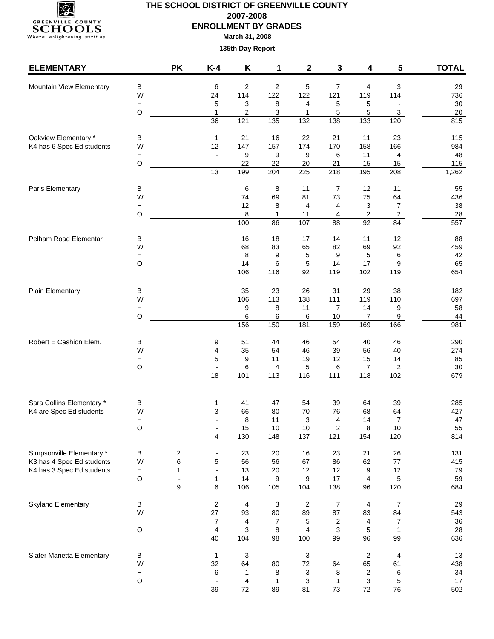

# **THE SCHOOL DISTRICT OF GREENVILLE COUNTY 2007-2008 ENROLLMENT BY GRADES**

**March 31, 2008**

| <b>ELEMENTARY</b>          |                                | <b>PK</b>                     | $K-4$                                       | K                             | 1                       | $\mathbf 2$               | 3                                  | 4                       | 5                    | <b>TOTAL</b> |
|----------------------------|--------------------------------|-------------------------------|---------------------------------------------|-------------------------------|-------------------------|---------------------------|------------------------------------|-------------------------|----------------------|--------------|
| Mountain View Elementary   | В                              |                               | 6                                           | $\overline{\mathbf{c}}$       | $\overline{\mathbf{c}}$ | 5                         | 7                                  | 4                       | $\mathbf{3}$         | 29           |
|                            | W                              |                               | 24                                          | 114                           | 122                     | 122                       | 121                                | 119                     | 114                  | 736          |
|                            | Н                              |                               | 5                                           | 3                             | 8                       | 4                         | 5                                  | 5                       |                      | $30\,$       |
|                            | O                              |                               | $\mathbf{1}$                                | 2                             | 3                       | 1                         | 5                                  | 5                       | $\mathbf{3}$         | $20\,$       |
|                            |                                |                               | $\overline{36}$                             | $\overline{121}$              | $\overline{135}$        | $\overline{132}$          | 138                                | $\overline{133}$        | 120                  | 815          |
| Oakview Elementary *       | В                              |                               | $\mathbf{1}$                                | 21                            | 16                      | 22                        | 21                                 | 11                      | 23                   | 115          |
| K4 has 6 Spec Ed students  | W                              |                               | 12                                          | 147                           | 157                     | 174                       | 170                                | 158                     | 166                  | 984          |
|                            | Н                              |                               | $\blacksquare$                              | 9                             | 9                       | 9                         | 6                                  | 11                      | 4                    | 48           |
|                            | O                              |                               | $\overline{\phantom{a}}$<br>$\overline{13}$ | 22<br>199                     | 22<br>$\overline{204}$  | 20<br>225                 | 21<br>$\overline{218}$             | 15<br>195               | 15<br>208            | 115<br>1,262 |
|                            |                                |                               |                                             |                               |                         |                           |                                    |                         |                      |              |
| Paris Elementary           | В<br>W                         |                               |                                             | 6<br>74                       | 8<br>69                 | 11<br>81                  | 7<br>73                            | 12<br>75                | 11<br>64             | 55<br>436    |
|                            | $\boldsymbol{\mathsf{H}}$      |                               |                                             | 12                            | 8                       | 4                         | 4                                  | 3                       | $\overline{7}$       | 38           |
|                            | O                              |                               |                                             | 8                             | 1                       | 11                        | 4                                  | $\overline{\mathbf{c}}$ | $\sqrt{2}$           | 28           |
|                            |                                |                               |                                             | 100                           | 86                      | 107                       | $\overline{88}$<br>$\overline{92}$ | 84                      | 557                  |              |
| Pelham Road Elementar      | В                              |                               |                                             | 16                            | 18                      | 17                        | 14                                 | 11                      | 12                   | 88           |
|                            | W                              |                               |                                             | 68                            | 83                      | 65                        | 82                                 | 69                      | 92                   | 459          |
|                            | Н                              |                               |                                             | 8                             | 9                       | 5                         | 9                                  | 5                       | 6                    | 42           |
|                            | O                              |                               |                                             | 14<br>106                     | 6<br>116                | 5<br>92                   | 14<br>119                          | 17<br>102               | 9<br>119             | 65<br>654    |
|                            |                                |                               |                                             |                               |                         |                           |                                    |                         |                      |              |
| Plain Elementary           | В                              |                               |                                             | 35                            | 23                      | 26                        | 31                                 | 29                      | 38                   | 182          |
|                            | W                              |                               |                                             | 106                           | 113                     | 138                       | 111                                | 119                     | 110                  | 697          |
|                            | Н                              |                               |                                             | 9                             | 8                       | 11                        | $\overline{7}$                     | 14                      | 9                    | 58           |
|                            | O                              |                               |                                             | 6<br>156                      | 6<br>150                | 6<br>181                  | 10<br>159                          | 7<br>169                | 9<br>166             | 44<br>981    |
|                            |                                |                               |                                             |                               |                         |                           |                                    |                         |                      |              |
| Robert E Cashion Elem.     | В                              |                               | 9                                           | 51                            | 44                      | 46                        | 54                                 | 40                      | 46                   | 290          |
|                            | W<br>$\boldsymbol{\mathsf{H}}$ |                               | 4<br>5                                      | 35<br>9                       | 54<br>11                | 46<br>19                  | 39<br>12                           | 56<br>15                | 40<br>14             | 274<br>85    |
|                            | O                              |                               | $\blacksquare$                              | 6                             | 4                       | 5                         | 6                                  | $\overline{7}$          | $\overline{2}$       | $30\,$       |
|                            |                                |                               | $\overline{18}$                             | 101                           | 113                     | 116                       | $\frac{111}{111}$                  | 118                     | 102                  | 679          |
|                            |                                |                               |                                             |                               |                         |                           |                                    |                         |                      |              |
| Sara Collins Elementary *  | В                              |                               | 1                                           | 41                            | 47                      | 54                        | 39                                 | 64                      | 39                   | 285          |
| K4 are Spec Ed students    | W<br>н                         |                               | 3                                           | 66<br>8                       | 80<br>11                | 70<br>3                   | 76<br>4                            | 68<br>14                | 64<br>$\overline{7}$ | 427<br>47    |
|                            | O                              |                               |                                             | 15                            | 10                      | 10                        | $\overline{\mathbf{c}}$            | $\,8\,$                 | 10                   | 55           |
|                            |                                |                               | $\overline{4}$                              | 130                           | 148                     | 137                       | 121                                | 154                     | 120                  | 814          |
| Simpsonville Elementary *  | В                              | 2                             |                                             | 23                            | 20                      | 16                        | 23                                 | 21                      | 26                   | 131          |
| K3 has 4 Spec Ed students  | W                              | 6                             | 5                                           | 56                            | 56                      | 67                        | 86                                 | 62                      | $77 \,$              | 415          |
| K4 has 3 Spec Ed students  | Н                              | 1                             | $\overline{\phantom{a}}$                    | 13                            | 20                      | 12                        | 12                                 | 9                       | 12                   | 79           |
|                            | O                              | $\overline{\phantom{a}}$<br>9 | $\mathbf{1}$<br>6                           | 14<br>106                     | 9<br>105                | 9<br>104                  | 17<br>138                          | 4<br>96                 | $\sqrt{5}$<br>120    | 59<br>684    |
|                            |                                |                               |                                             |                               |                         |                           |                                    |                         |                      |              |
| Skyland Elementary         | В                              |                               | $\overline{\mathbf{c}}$                     | 4                             | 3                       | $\overline{2}$            | 7                                  | 4                       | $\overline{7}$       | 29           |
|                            | W                              |                               | 27<br>$\overline{7}$                        | 93<br>$\overline{\mathbf{4}}$ | 80<br>$\overline{7}$    | 89                        | 87                                 | 83                      | 84<br>$\overline{7}$ | 543          |
|                            | H<br>O                         |                               | 4                                           | 3                             | 8                       | 5<br>4                    | $\overline{\mathbf{c}}$<br>3       | 4<br>5                  | $\mathbf{1}$         | 36<br>28     |
|                            |                                |                               | 40                                          | 104                           | 98                      | 100                       | 99                                 | 96                      | 99                   | 636          |
| Slater Marietta Elementary | Β                              |                               | $\mathbf{1}$                                | 3                             |                         | $\ensuremath{\mathsf{3}}$ |                                    | $\sqrt{2}$              | 4                    | 13           |
|                            | W                              |                               | 32                                          | 64                            | 80                      | 72                        | 64                                 | 65                      | 61                   | 438          |
|                            | Н                              |                               | 6                                           | 1                             | 8                       | $\sqrt{3}$                | 8                                  | $\sqrt{2}$              | 6                    | 34           |
|                            | O                              |                               |                                             | 4                             | 1                       | 3                         | 1                                  | 3                       | 5                    | 17           |
|                            |                                |                               | 39                                          | $\overline{72}$               | 89                      | 81                        | $\overline{73}$                    | 72                      | 76                   | 502          |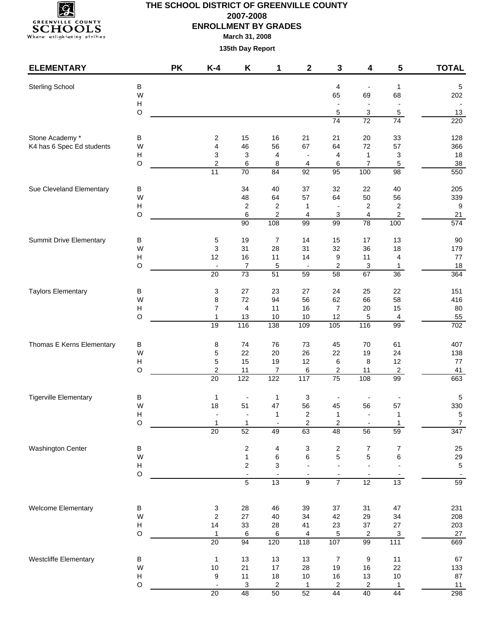

### **THE SCHOOL DISTRICT OF GREENVILLE COUNTY 2007-2008 ENROLLMENT BY GRADES March 31, 2008**

| <b>ELEMENTARY</b>              |                                                                                                                                                                                                                                                                                                                                                                                                                                                                                                                                                                                                                                                                                                                                                                                                                                                                                                                                                                                                                                                                                                                                                                                                                                                                                                                                                                                                                                                                                                                                                                                                                                                                                                                                                                                                                                                                                                                                                                                                                                                                                                                                                                                                                                                                                                                                                                                                                                                                                                                                                                                                                                                                                                                       | <b>PK</b> | $K-4$          | Κ  | 1  | $\mathbf 2$ | 3              | 4                        | 5                                  | <b>TOTAL</b>     |
|--------------------------------|-----------------------------------------------------------------------------------------------------------------------------------------------------------------------------------------------------------------------------------------------------------------------------------------------------------------------------------------------------------------------------------------------------------------------------------------------------------------------------------------------------------------------------------------------------------------------------------------------------------------------------------------------------------------------------------------------------------------------------------------------------------------------------------------------------------------------------------------------------------------------------------------------------------------------------------------------------------------------------------------------------------------------------------------------------------------------------------------------------------------------------------------------------------------------------------------------------------------------------------------------------------------------------------------------------------------------------------------------------------------------------------------------------------------------------------------------------------------------------------------------------------------------------------------------------------------------------------------------------------------------------------------------------------------------------------------------------------------------------------------------------------------------------------------------------------------------------------------------------------------------------------------------------------------------------------------------------------------------------------------------------------------------------------------------------------------------------------------------------------------------------------------------------------------------------------------------------------------------------------------------------------------------------------------------------------------------------------------------------------------------------------------------------------------------------------------------------------------------------------------------------------------------------------------------------------------------------------------------------------------------------------------------------------------------------------------------------------------------|-----------|----------------|----|----|-------------|----------------|--------------------------|------------------------------------|------------------|
| Sterling School                |                                                                                                                                                                                                                                                                                                                                                                                                                                                                                                                                                                                                                                                                                                                                                                                                                                                                                                                                                                                                                                                                                                                                                                                                                                                                                                                                                                                                                                                                                                                                                                                                                                                                                                                                                                                                                                                                                                                                                                                                                                                                                                                                                                                                                                                                                                                                                                                                                                                                                                                                                                                                                                                                                                                       |           |                |    |    |             |                |                          | $\mathbf{1}$                       | $\sqrt{5}$       |
|                                | W                                                                                                                                                                                                                                                                                                                                                                                                                                                                                                                                                                                                                                                                                                                                                                                                                                                                                                                                                                                                                                                                                                                                                                                                                                                                                                                                                                                                                                                                                                                                                                                                                                                                                                                                                                                                                                                                                                                                                                                                                                                                                                                                                                                                                                                                                                                                                                                                                                                                                                                                                                                                                                                                                                                     |           |                |    |    |             | 65             | 69                       | 68                                 | 202              |
|                                | $\boldsymbol{\mathsf{H}}$                                                                                                                                                                                                                                                                                                                                                                                                                                                                                                                                                                                                                                                                                                                                                                                                                                                                                                                                                                                                                                                                                                                                                                                                                                                                                                                                                                                                                                                                                                                                                                                                                                                                                                                                                                                                                                                                                                                                                                                                                                                                                                                                                                                                                                                                                                                                                                                                                                                                                                                                                                                                                                                                                             |           |                |    |    |             | $\overline{a}$ | $\overline{\phantom{a}}$ | $\overline{\phantom{a}}$           |                  |
|                                |                                                                                                                                                                                                                                                                                                                                                                                                                                                                                                                                                                                                                                                                                                                                                                                                                                                                                                                                                                                                                                                                                                                                                                                                                                                                                                                                                                                                                                                                                                                                                                                                                                                                                                                                                                                                                                                                                                                                                                                                                                                                                                                                                                                                                                                                                                                                                                                                                                                                                                                                                                                                                                                                                                                       |           |                |    |    |             |                | 3                        | $\sqrt{5}$                         | 13               |
|                                |                                                                                                                                                                                                                                                                                                                                                                                                                                                                                                                                                                                                                                                                                                                                                                                                                                                                                                                                                                                                                                                                                                                                                                                                                                                                                                                                                                                                                                                                                                                                                                                                                                                                                                                                                                                                                                                                                                                                                                                                                                                                                                                                                                                                                                                                                                                                                                                                                                                                                                                                                                                                                                                                                                                       |           |                |    |    |             |                |                          | 74                                 | 220              |
| Stone Academy *                | B                                                                                                                                                                                                                                                                                                                                                                                                                                                                                                                                                                                                                                                                                                                                                                                                                                                                                                                                                                                                                                                                                                                                                                                                                                                                                                                                                                                                                                                                                                                                                                                                                                                                                                                                                                                                                                                                                                                                                                                                                                                                                                                                                                                                                                                                                                                                                                                                                                                                                                                                                                                                                                                                                                                     |           | $\overline{c}$ | 15 | 16 | 21          | 21             | 20                       | 33                                 | 128              |
| K4 has 6 Spec Ed students      |                                                                                                                                                                                                                                                                                                                                                                                                                                                                                                                                                                                                                                                                                                                                                                                                                                                                                                                                                                                                                                                                                                                                                                                                                                                                                                                                                                                                                                                                                                                                                                                                                                                                                                                                                                                                                                                                                                                                                                                                                                                                                                                                                                                                                                                                                                                                                                                                                                                                                                                                                                                                                                                                                                                       |           |                |    |    |             |                |                          | 57                                 | 366              |
|                                | В<br>$\overline{4}$<br>O<br>5<br>$\overline{72}$<br>74<br>56<br>67<br>W<br>$\overline{4}$<br>46<br>64<br>72<br>$\boldsymbol{\mathsf{H}}$<br>3<br>3<br>4<br>$\overline{4}$<br>1<br>$\overline{\phantom{a}}$<br>$\circ$<br>$\boldsymbol{2}$<br>$\overline{7}$<br>6<br>8<br>4<br>6<br>11<br>70<br>84<br>$\overline{92}$<br>$\overline{95}$<br>100<br>34<br>32<br>В<br>40<br>37<br>22<br>50<br>W<br>48<br>64<br>57<br>64<br>$\boldsymbol{\mathsf{H}}$<br>$\overline{\mathbf{c}}$<br>$\overline{2}$<br>2<br>$\mathbf 1$<br>$\blacksquare$<br>O<br>6<br>2<br>3<br>4<br>4<br>$\overline{90}$<br>108<br>99<br>$\overline{78}$<br>99<br>$\sf B$<br>5<br>19<br>$\overline{7}$<br>14<br>15<br>17<br>31<br>W<br>3<br>28<br>31<br>32<br>36<br>$\boldsymbol{\mathsf{H}}$<br>12<br>16<br>11<br>14<br>9<br>11<br>$\mathsf O$<br>2<br>7<br>5<br>3<br>$\blacksquare$<br>$\blacksquare$<br>$\overline{73}$<br>20<br>51<br>59<br>58<br>67<br>3<br>27<br>23<br>27<br>24<br>25<br>В<br>W<br>72<br>8<br>94<br>56<br>62<br>66<br>16<br>$\overline{7}$<br>$\boldsymbol{\mathsf{H}}$<br>$\overline{7}$<br>4<br>11<br>20<br>O<br>$\mathbf{1}$<br>13<br>$10\,$<br>$10$<br>12<br>5<br>$\frac{116}{116}$<br>138<br>$\frac{1}{105}$<br>$\frac{116}{116}$<br>19<br>109<br>$\sf B$<br>76<br>73<br>45<br>70<br>8<br>74<br>22<br>W<br>5<br>20<br>26<br>22<br>19<br>15<br>$\boldsymbol{\mathsf{H}}$<br>5<br>19<br>12<br>6<br>8<br>O<br>$\overline{2}$<br>11<br>$\overline{7}$<br>6<br>2<br>11<br>122<br>75<br>$\overline{20}$<br>122<br>$\frac{1}{117}$<br>108<br>В<br>$\mathbf{1}$<br>$\mathbf{1}$<br>3<br>$\overline{\phantom{a}}$<br>$\overline{\phantom{a}}$<br>W<br>18<br>51<br>47<br>56<br>45<br>56<br>$\boldsymbol{\mathsf{H}}$<br>$\overline{\mathbf{c}}$<br>$\mathbf{1}$<br>1<br>$\overline{a}$<br>O<br>$\overline{2}$<br>2<br>1<br>1<br>$\overline{20}$<br>52<br>49<br>63<br>56<br>48<br>$\sf B$<br>$\overline{\mathbf{c}}$<br>3<br>2<br>7<br>4<br>$\mathbf 5$<br>5<br>W<br>6<br>$\mathbf{1}$<br>6<br>3<br>$\boldsymbol{\mathsf{H}}$<br>2<br>$\overline{a}$<br>$\circ$<br>$\blacksquare$<br>$\overline{\phantom{a}}$<br>5<br>$\overline{7}$<br>13<br>12<br>9<br>$\sf B$<br>3<br>28<br>46<br>39<br>37<br>31<br>W<br>$\boldsymbol{2}$<br>27<br>40<br>34<br>42<br>29<br>$\boldsymbol{\mathsf{H}}$<br>14<br>33<br>28<br>23<br>$37\,$<br>41<br>O<br>$\mathbf{1}$<br>6<br>5<br>6<br>4<br>2<br>20<br>99<br>94<br>120<br>118<br>107<br>$\sf B$<br>13<br>13<br>13<br>$\boldsymbol{7}$<br>1<br>9<br>W<br>21<br>28<br>19<br>$10$<br>17<br>16<br>$\boldsymbol{\mathsf{H}}$<br>11<br>13<br>18<br>$10$<br>16<br>9<br>O<br>3<br>$\overline{\mathbf{c}}$<br>2<br>$\mathbf{1}$<br>2<br>$\overline{\phantom{a}}$<br>20<br>48<br>50<br>44<br>40<br>$\overline{52}$ | 3<br>5    | 18<br>38       |    |    |             |                |                          |                                    |                  |
|                                |                                                                                                                                                                                                                                                                                                                                                                                                                                                                                                                                                                                                                                                                                                                                                                                                                                                                                                                                                                                                                                                                                                                                                                                                                                                                                                                                                                                                                                                                                                                                                                                                                                                                                                                                                                                                                                                                                                                                                                                                                                                                                                                                                                                                                                                                                                                                                                                                                                                                                                                                                                                                                                                                                                                       |           |                |    |    |             |                |                          | $\overline{98}$                    | 550              |
| Sue Cleveland Elementary       |                                                                                                                                                                                                                                                                                                                                                                                                                                                                                                                                                                                                                                                                                                                                                                                                                                                                                                                                                                                                                                                                                                                                                                                                                                                                                                                                                                                                                                                                                                                                                                                                                                                                                                                                                                                                                                                                                                                                                                                                                                                                                                                                                                                                                                                                                                                                                                                                                                                                                                                                                                                                                                                                                                                       |           |                |    |    |             |                |                          | 40                                 | 205              |
|                                |                                                                                                                                                                                                                                                                                                                                                                                                                                                                                                                                                                                                                                                                                                                                                                                                                                                                                                                                                                                                                                                                                                                                                                                                                                                                                                                                                                                                                                                                                                                                                                                                                                                                                                                                                                                                                                                                                                                                                                                                                                                                                                                                                                                                                                                                                                                                                                                                                                                                                                                                                                                                                                                                                                                       |           |                |    |    |             |                |                          | 56                                 | 339              |
|                                |                                                                                                                                                                                                                                                                                                                                                                                                                                                                                                                                                                                                                                                                                                                                                                                                                                                                                                                                                                                                                                                                                                                                                                                                                                                                                                                                                                                                                                                                                                                                                                                                                                                                                                                                                                                                                                                                                                                                                                                                                                                                                                                                                                                                                                                                                                                                                                                                                                                                                                                                                                                                                                                                                                                       |           |                |    |    |             |                |                          | $\sqrt{2}$                         | 9                |
|                                |                                                                                                                                                                                                                                                                                                                                                                                                                                                                                                                                                                                                                                                                                                                                                                                                                                                                                                                                                                                                                                                                                                                                                                                                                                                                                                                                                                                                                                                                                                                                                                                                                                                                                                                                                                                                                                                                                                                                                                                                                                                                                                                                                                                                                                                                                                                                                                                                                                                                                                                                                                                                                                                                                                                       |           |                |    |    |             |                |                          | $\overline{2}$                     | 21               |
|                                |                                                                                                                                                                                                                                                                                                                                                                                                                                                                                                                                                                                                                                                                                                                                                                                                                                                                                                                                                                                                                                                                                                                                                                                                                                                                                                                                                                                                                                                                                                                                                                                                                                                                                                                                                                                                                                                                                                                                                                                                                                                                                                                                                                                                                                                                                                                                                                                                                                                                                                                                                                                                                                                                                                                       |           |                |    |    |             |                |                          | 100                                | $\overline{574}$ |
| <b>Summit Drive Elementary</b> |                                                                                                                                                                                                                                                                                                                                                                                                                                                                                                                                                                                                                                                                                                                                                                                                                                                                                                                                                                                                                                                                                                                                                                                                                                                                                                                                                                                                                                                                                                                                                                                                                                                                                                                                                                                                                                                                                                                                                                                                                                                                                                                                                                                                                                                                                                                                                                                                                                                                                                                                                                                                                                                                                                                       |           |                |    |    |             |                |                          | 13                                 | 90               |
|                                |                                                                                                                                                                                                                                                                                                                                                                                                                                                                                                                                                                                                                                                                                                                                                                                                                                                                                                                                                                                                                                                                                                                                                                                                                                                                                                                                                                                                                                                                                                                                                                                                                                                                                                                                                                                                                                                                                                                                                                                                                                                                                                                                                                                                                                                                                                                                                                                                                                                                                                                                                                                                                                                                                                                       |           |                |    |    |             |                |                          | 18                                 | 179              |
|                                |                                                                                                                                                                                                                                                                                                                                                                                                                                                                                                                                                                                                                                                                                                                                                                                                                                                                                                                                                                                                                                                                                                                                                                                                                                                                                                                                                                                                                                                                                                                                                                                                                                                                                                                                                                                                                                                                                                                                                                                                                                                                                                                                                                                                                                                                                                                                                                                                                                                                                                                                                                                                                                                                                                                       |           |                |    |    |             |                |                          | 4                                  | 77               |
|                                |                                                                                                                                                                                                                                                                                                                                                                                                                                                                                                                                                                                                                                                                                                                                                                                                                                                                                                                                                                                                                                                                                                                                                                                                                                                                                                                                                                                                                                                                                                                                                                                                                                                                                                                                                                                                                                                                                                                                                                                                                                                                                                                                                                                                                                                                                                                                                                                                                                                                                                                                                                                                                                                                                                                       |           |                |    |    |             |                |                          | $\mathbf{1}$<br>36                 | 18<br>364        |
| <b>Taylors Elementary</b>      |                                                                                                                                                                                                                                                                                                                                                                                                                                                                                                                                                                                                                                                                                                                                                                                                                                                                                                                                                                                                                                                                                                                                                                                                                                                                                                                                                                                                                                                                                                                                                                                                                                                                                                                                                                                                                                                                                                                                                                                                                                                                                                                                                                                                                                                                                                                                                                                                                                                                                                                                                                                                                                                                                                                       |           |                |    |    |             |                |                          | 22                                 | 151              |
|                                |                                                                                                                                                                                                                                                                                                                                                                                                                                                                                                                                                                                                                                                                                                                                                                                                                                                                                                                                                                                                                                                                                                                                                                                                                                                                                                                                                                                                                                                                                                                                                                                                                                                                                                                                                                                                                                                                                                                                                                                                                                                                                                                                                                                                                                                                                                                                                                                                                                                                                                                                                                                                                                                                                                                       |           |                |    |    |             |                |                          | 58                                 | 416              |
|                                |                                                                                                                                                                                                                                                                                                                                                                                                                                                                                                                                                                                                                                                                                                                                                                                                                                                                                                                                                                                                                                                                                                                                                                                                                                                                                                                                                                                                                                                                                                                                                                                                                                                                                                                                                                                                                                                                                                                                                                                                                                                                                                                                                                                                                                                                                                                                                                                                                                                                                                                                                                                                                                                                                                                       |           |                |    |    |             |                |                          | 15                                 | 80               |
|                                |                                                                                                                                                                                                                                                                                                                                                                                                                                                                                                                                                                                                                                                                                                                                                                                                                                                                                                                                                                                                                                                                                                                                                                                                                                                                                                                                                                                                                                                                                                                                                                                                                                                                                                                                                                                                                                                                                                                                                                                                                                                                                                                                                                                                                                                                                                                                                                                                                                                                                                                                                                                                                                                                                                                       |           |                |    |    |             |                |                          | $\overline{4}$                     | 55               |
|                                |                                                                                                                                                                                                                                                                                                                                                                                                                                                                                                                                                                                                                                                                                                                                                                                                                                                                                                                                                                                                                                                                                                                                                                                                                                                                                                                                                                                                                                                                                                                                                                                                                                                                                                                                                                                                                                                                                                                                                                                                                                                                                                                                                                                                                                                                                                                                                                                                                                                                                                                                                                                                                                                                                                                       |           |                |    |    |             |                |                          | 99                                 | 702              |
| Thomas E Kerns Elementary      |                                                                                                                                                                                                                                                                                                                                                                                                                                                                                                                                                                                                                                                                                                                                                                                                                                                                                                                                                                                                                                                                                                                                                                                                                                                                                                                                                                                                                                                                                                                                                                                                                                                                                                                                                                                                                                                                                                                                                                                                                                                                                                                                                                                                                                                                                                                                                                                                                                                                                                                                                                                                                                                                                                                       |           |                |    |    |             |                |                          | 61                                 | 407              |
|                                |                                                                                                                                                                                                                                                                                                                                                                                                                                                                                                                                                                                                                                                                                                                                                                                                                                                                                                                                                                                                                                                                                                                                                                                                                                                                                                                                                                                                                                                                                                                                                                                                                                                                                                                                                                                                                                                                                                                                                                                                                                                                                                                                                                                                                                                                                                                                                                                                                                                                                                                                                                                                                                                                                                                       |           |                |    |    |             |                |                          | 24                                 | 138              |
|                                |                                                                                                                                                                                                                                                                                                                                                                                                                                                                                                                                                                                                                                                                                                                                                                                                                                                                                                                                                                                                                                                                                                                                                                                                                                                                                                                                                                                                                                                                                                                                                                                                                                                                                                                                                                                                                                                                                                                                                                                                                                                                                                                                                                                                                                                                                                                                                                                                                                                                                                                                                                                                                                                                                                                       |           |                |    |    |             |                |                          | 12                                 | 77               |
|                                |                                                                                                                                                                                                                                                                                                                                                                                                                                                                                                                                                                                                                                                                                                                                                                                                                                                                                                                                                                                                                                                                                                                                                                                                                                                                                                                                                                                                                                                                                                                                                                                                                                                                                                                                                                                                                                                                                                                                                                                                                                                                                                                                                                                                                                                                                                                                                                                                                                                                                                                                                                                                                                                                                                                       |           |                |    |    |             |                |                          | $\overline{2}$<br>99               | 41<br>663        |
|                                |                                                                                                                                                                                                                                                                                                                                                                                                                                                                                                                                                                                                                                                                                                                                                                                                                                                                                                                                                                                                                                                                                                                                                                                                                                                                                                                                                                                                                                                                                                                                                                                                                                                                                                                                                                                                                                                                                                                                                                                                                                                                                                                                                                                                                                                                                                                                                                                                                                                                                                                                                                                                                                                                                                                       |           |                |    |    |             |                |                          |                                    |                  |
| <b>Tigerville Elementary</b>   |                                                                                                                                                                                                                                                                                                                                                                                                                                                                                                                                                                                                                                                                                                                                                                                                                                                                                                                                                                                                                                                                                                                                                                                                                                                                                                                                                                                                                                                                                                                                                                                                                                                                                                                                                                                                                                                                                                                                                                                                                                                                                                                                                                                                                                                                                                                                                                                                                                                                                                                                                                                                                                                                                                                       |           |                |    |    |             |                |                          | 57                                 | 5<br>330         |
|                                |                                                                                                                                                                                                                                                                                                                                                                                                                                                                                                                                                                                                                                                                                                                                                                                                                                                                                                                                                                                                                                                                                                                                                                                                                                                                                                                                                                                                                                                                                                                                                                                                                                                                                                                                                                                                                                                                                                                                                                                                                                                                                                                                                                                                                                                                                                                                                                                                                                                                                                                                                                                                                                                                                                                       |           |                |    |    |             |                |                          | 1                                  | $\sqrt{5}$       |
|                                |                                                                                                                                                                                                                                                                                                                                                                                                                                                                                                                                                                                                                                                                                                                                                                                                                                                                                                                                                                                                                                                                                                                                                                                                                                                                                                                                                                                                                                                                                                                                                                                                                                                                                                                                                                                                                                                                                                                                                                                                                                                                                                                                                                                                                                                                                                                                                                                                                                                                                                                                                                                                                                                                                                                       |           |                |    |    |             |                |                          | 1                                  | $\overline{7}$   |
|                                |                                                                                                                                                                                                                                                                                                                                                                                                                                                                                                                                                                                                                                                                                                                                                                                                                                                                                                                                                                                                                                                                                                                                                                                                                                                                                                                                                                                                                                                                                                                                                                                                                                                                                                                                                                                                                                                                                                                                                                                                                                                                                                                                                                                                                                                                                                                                                                                                                                                                                                                                                                                                                                                                                                                       |           |                |    |    |             |                |                          | 59                                 | 347              |
| <b>Washington Center</b>       |                                                                                                                                                                                                                                                                                                                                                                                                                                                                                                                                                                                                                                                                                                                                                                                                                                                                                                                                                                                                                                                                                                                                                                                                                                                                                                                                                                                                                                                                                                                                                                                                                                                                                                                                                                                                                                                                                                                                                                                                                                                                                                                                                                                                                                                                                                                                                                                                                                                                                                                                                                                                                                                                                                                       |           |                |    |    |             |                |                          | $\overline{7}$                     | 25               |
|                                |                                                                                                                                                                                                                                                                                                                                                                                                                                                                                                                                                                                                                                                                                                                                                                                                                                                                                                                                                                                                                                                                                                                                                                                                                                                                                                                                                                                                                                                                                                                                                                                                                                                                                                                                                                                                                                                                                                                                                                                                                                                                                                                                                                                                                                                                                                                                                                                                                                                                                                                                                                                                                                                                                                                       |           |                |    |    |             |                |                          | 6                                  | 29               |
|                                |                                                                                                                                                                                                                                                                                                                                                                                                                                                                                                                                                                                                                                                                                                                                                                                                                                                                                                                                                                                                                                                                                                                                                                                                                                                                                                                                                                                                                                                                                                                                                                                                                                                                                                                                                                                                                                                                                                                                                                                                                                                                                                                                                                                                                                                                                                                                                                                                                                                                                                                                                                                                                                                                                                                       |           |                |    |    |             |                |                          |                                    | $\sqrt{5}$       |
|                                |                                                                                                                                                                                                                                                                                                                                                                                                                                                                                                                                                                                                                                                                                                                                                                                                                                                                                                                                                                                                                                                                                                                                                                                                                                                                                                                                                                                                                                                                                                                                                                                                                                                                                                                                                                                                                                                                                                                                                                                                                                                                                                                                                                                                                                                                                                                                                                                                                                                                                                                                                                                                                                                                                                                       |           |                |    |    |             |                |                          | $\overline{13}$                    | 59               |
|                                |                                                                                                                                                                                                                                                                                                                                                                                                                                                                                                                                                                                                                                                                                                                                                                                                                                                                                                                                                                                                                                                                                                                                                                                                                                                                                                                                                                                                                                                                                                                                                                                                                                                                                                                                                                                                                                                                                                                                                                                                                                                                                                                                                                                                                                                                                                                                                                                                                                                                                                                                                                                                                                                                                                                       |           |                |    |    |             |                |                          |                                    |                  |
| Welcome Elementary             |                                                                                                                                                                                                                                                                                                                                                                                                                                                                                                                                                                                                                                                                                                                                                                                                                                                                                                                                                                                                                                                                                                                                                                                                                                                                                                                                                                                                                                                                                                                                                                                                                                                                                                                                                                                                                                                                                                                                                                                                                                                                                                                                                                                                                                                                                                                                                                                                                                                                                                                                                                                                                                                                                                                       |           |                |    |    |             |                |                          | 47                                 | 231              |
|                                |                                                                                                                                                                                                                                                                                                                                                                                                                                                                                                                                                                                                                                                                                                                                                                                                                                                                                                                                                                                                                                                                                                                                                                                                                                                                                                                                                                                                                                                                                                                                                                                                                                                                                                                                                                                                                                                                                                                                                                                                                                                                                                                                                                                                                                                                                                                                                                                                                                                                                                                                                                                                                                                                                                                       |           |                |    |    |             |                |                          | 34                                 | 208              |
|                                |                                                                                                                                                                                                                                                                                                                                                                                                                                                                                                                                                                                                                                                                                                                                                                                                                                                                                                                                                                                                                                                                                                                                                                                                                                                                                                                                                                                                                                                                                                                                                                                                                                                                                                                                                                                                                                                                                                                                                                                                                                                                                                                                                                                                                                                                                                                                                                                                                                                                                                                                                                                                                                                                                                                       |           |                |    |    |             |                |                          | $27\,$                             | 203<br>27        |
|                                |                                                                                                                                                                                                                                                                                                                                                                                                                                                                                                                                                                                                                                                                                                                                                                                                                                                                                                                                                                                                                                                                                                                                                                                                                                                                                                                                                                                                                                                                                                                                                                                                                                                                                                                                                                                                                                                                                                                                                                                                                                                                                                                                                                                                                                                                                                                                                                                                                                                                                                                                                                                                                                                                                                                       |           |                |    |    |             |                |                          | $\overline{3}$<br>$\overline{111}$ | 669              |
| <b>Westcliffe Elementary</b>   |                                                                                                                                                                                                                                                                                                                                                                                                                                                                                                                                                                                                                                                                                                                                                                                                                                                                                                                                                                                                                                                                                                                                                                                                                                                                                                                                                                                                                                                                                                                                                                                                                                                                                                                                                                                                                                                                                                                                                                                                                                                                                                                                                                                                                                                                                                                                                                                                                                                                                                                                                                                                                                                                                                                       |           |                |    |    |             |                |                          | 11                                 | 67               |
|                                |                                                                                                                                                                                                                                                                                                                                                                                                                                                                                                                                                                                                                                                                                                                                                                                                                                                                                                                                                                                                                                                                                                                                                                                                                                                                                                                                                                                                                                                                                                                                                                                                                                                                                                                                                                                                                                                                                                                                                                                                                                                                                                                                                                                                                                                                                                                                                                                                                                                                                                                                                                                                                                                                                                                       |           |                |    |    |             |                |                          | 22                                 | 133              |
|                                |                                                                                                                                                                                                                                                                                                                                                                                                                                                                                                                                                                                                                                                                                                                                                                                                                                                                                                                                                                                                                                                                                                                                                                                                                                                                                                                                                                                                                                                                                                                                                                                                                                                                                                                                                                                                                                                                                                                                                                                                                                                                                                                                                                                                                                                                                                                                                                                                                                                                                                                                                                                                                                                                                                                       |           |                |    |    |             |                |                          | $10$                               | 87               |
|                                |                                                                                                                                                                                                                                                                                                                                                                                                                                                                                                                                                                                                                                                                                                                                                                                                                                                                                                                                                                                                                                                                                                                                                                                                                                                                                                                                                                                                                                                                                                                                                                                                                                                                                                                                                                                                                                                                                                                                                                                                                                                                                                                                                                                                                                                                                                                                                                                                                                                                                                                                                                                                                                                                                                                       |           |                |    |    |             |                |                          | 1                                  | 11               |
|                                |                                                                                                                                                                                                                                                                                                                                                                                                                                                                                                                                                                                                                                                                                                                                                                                                                                                                                                                                                                                                                                                                                                                                                                                                                                                                                                                                                                                                                                                                                                                                                                                                                                                                                                                                                                                                                                                                                                                                                                                                                                                                                                                                                                                                                                                                                                                                                                                                                                                                                                                                                                                                                                                                                                                       |           |                |    |    |             |                |                          | 44                                 | 298              |